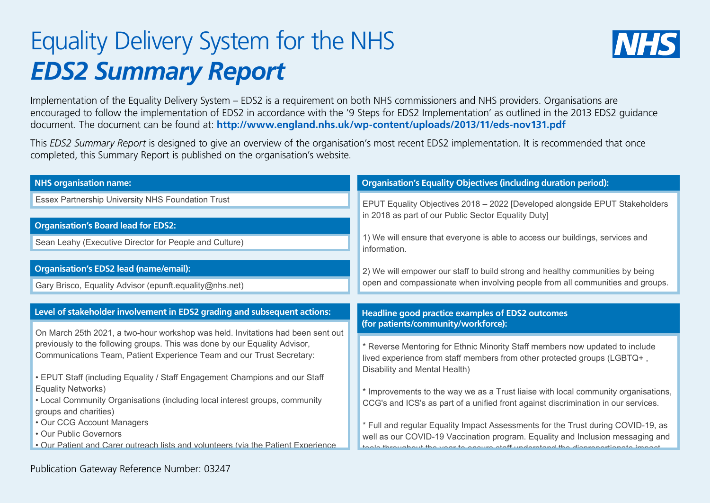## Equality Delivery System for the NHS *EDS2 Summary Report*



Implementation of the Equality Delivery System – EDS2 is a requirement on both NHS commissioners and NHS providers. Organisations are encouraged to follow the implementation of EDS2 in accordance with the '9 Steps for EDS2 Implementation' as outlined in the 2013 EDS2 guidance document. The document can be found at: **http://www.england.nhs.uk/wp-content/uploads/2013/11/eds-nov131.pdf**

This *EDS2 Summary Report* is designed to give an overview of the organisation's most recent EDS2 implementation. It is recommended that once completed, this Summary Report is published on the organisation's website.

| <b>NHS organisation name:</b>                                                                                                                                                                                                                                                                                                                                                                                                                                                                                        | <b>Organisation's Equality Objectives (including duration period):</b>                                                                                                                                                                                                                                                                                                |  |  |
|----------------------------------------------------------------------------------------------------------------------------------------------------------------------------------------------------------------------------------------------------------------------------------------------------------------------------------------------------------------------------------------------------------------------------------------------------------------------------------------------------------------------|-----------------------------------------------------------------------------------------------------------------------------------------------------------------------------------------------------------------------------------------------------------------------------------------------------------------------------------------------------------------------|--|--|
| Essex Partnership University NHS Foundation Trust                                                                                                                                                                                                                                                                                                                                                                                                                                                                    | EPUT Equality Objectives 2018 - 2022 [Developed alongside EPUT Stakeholders                                                                                                                                                                                                                                                                                           |  |  |
| <b>Organisation's Board lead for EDS2:</b><br>Sean Leahy (Executive Director for People and Culture)                                                                                                                                                                                                                                                                                                                                                                                                                 | in 2018 as part of our Public Sector Equality Duty]<br>1) We will ensure that everyone is able to access our buildings, services and<br>information.                                                                                                                                                                                                                  |  |  |
| <b>Organisation's EDS2 lead (name/email):</b>                                                                                                                                                                                                                                                                                                                                                                                                                                                                        | 2) We will empower our staff to build strong and healthy communities by being                                                                                                                                                                                                                                                                                         |  |  |
| Gary Brisco, Equality Advisor (epunft.equality@nhs.net)                                                                                                                                                                                                                                                                                                                                                                                                                                                              | open and compassionate when involving people from all communities and groups.                                                                                                                                                                                                                                                                                         |  |  |
| Level of stakeholder involvement in EDS2 grading and subsequent actions:<br>On March 25th 2021, a two-hour workshop was held. Invitations had been sent out                                                                                                                                                                                                                                                                                                                                                          | <b>Headline good practice examples of EDS2 outcomes</b><br>(for patients/community/workforce):                                                                                                                                                                                                                                                                        |  |  |
| previously to the following groups. This was done by our Equality Advisor,<br>Communications Team, Patient Experience Team and our Trust Secretary:<br>• EPUT Staff (including Equality / Staff Engagement Champions and our Staff<br><b>Equality Networks)</b><br>• Local Community Organisations (including local interest groups, community<br>groups and charities)<br>• Our CCG Account Managers<br>• Our Public Governors<br>. Our Patient and Carer outreach lists and volunteers (via the Patient Experience | * Reverse Mentoring for Ethnic Minority Staff members now updated to include<br>lived experience from staff members from other protected groups (LGBTQ+,<br>Disability and Mental Health)<br>* Improvements to the way we as a Trust liaise with local community organisations,<br>CCG's and ICS's as part of a unified front against discrimination in our services. |  |  |
|                                                                                                                                                                                                                                                                                                                                                                                                                                                                                                                      |                                                                                                                                                                                                                                                                                                                                                                       |  |  |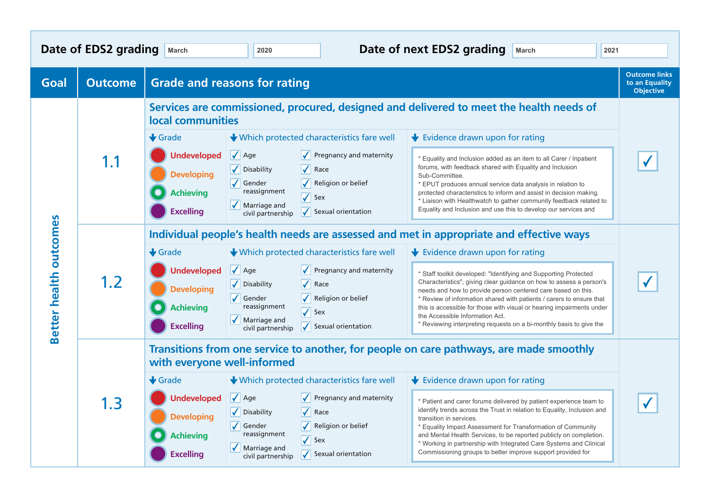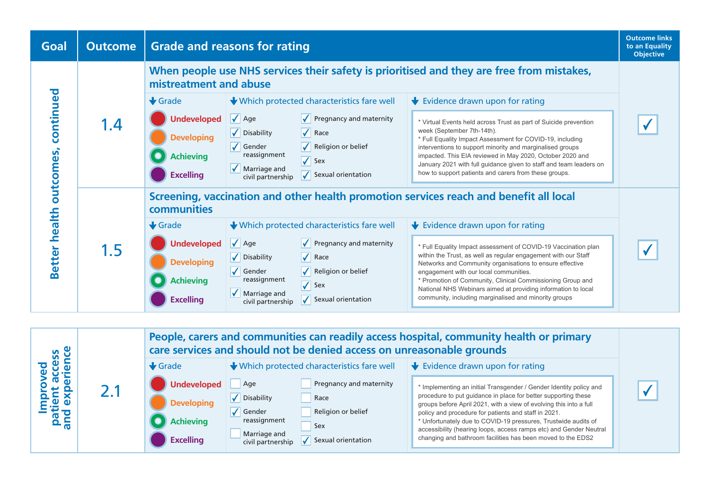

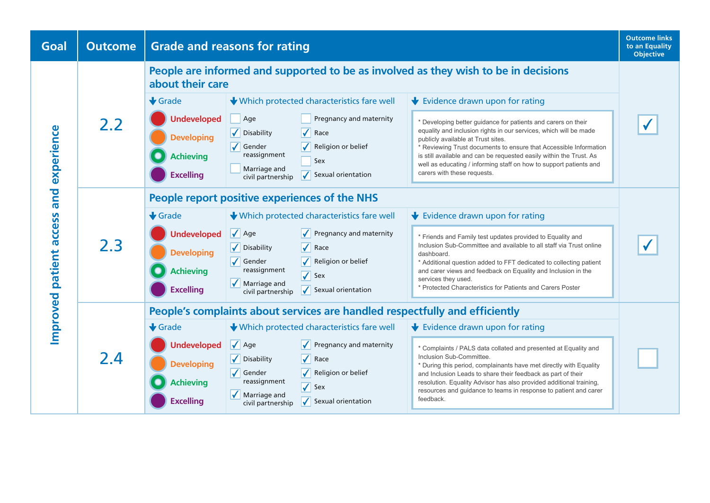| <b>Outcome</b>                        | <b>Grade and reasons for rating</b>                                                                     |                                                                                                    |                                                                                                                                                                                                                    |                                                                                                                                                                                                                                                                                                                                                                                                                                           | <b>Outcome links</b><br>to an Equality<br><b>Objective</b>                                                                                                                                                                                                                                                                                                                                                                                                   |
|---------------------------------------|---------------------------------------------------------------------------------------------------------|----------------------------------------------------------------------------------------------------|--------------------------------------------------------------------------------------------------------------------------------------------------------------------------------------------------------------------|-------------------------------------------------------------------------------------------------------------------------------------------------------------------------------------------------------------------------------------------------------------------------------------------------------------------------------------------------------------------------------------------------------------------------------------------|--------------------------------------------------------------------------------------------------------------------------------------------------------------------------------------------------------------------------------------------------------------------------------------------------------------------------------------------------------------------------------------------------------------------------------------------------------------|
|                                       | People are informed and supported to be as involved as they wish to be in decisions<br>about their care |                                                                                                    |                                                                                                                                                                                                                    |                                                                                                                                                                                                                                                                                                                                                                                                                                           |                                                                                                                                                                                                                                                                                                                                                                                                                                                              |
|                                       | $\bigstar$ Grade                                                                                        |                                                                                                    |                                                                                                                                                                                                                    | $\blacktriangleright$ Evidence drawn upon for rating                                                                                                                                                                                                                                                                                                                                                                                      |                                                                                                                                                                                                                                                                                                                                                                                                                                                              |
|                                       | <b>Undeveloped</b>                                                                                      | Age                                                                                                | Pregnancy and maternity                                                                                                                                                                                            | * Developing better guidance for patients and carers on their                                                                                                                                                                                                                                                                                                                                                                             |                                                                                                                                                                                                                                                                                                                                                                                                                                                              |
|                                       | <b>Developing</b>                                                                                       | Disability                                                                                         | $\blacktriangledown$<br>Race                                                                                                                                                                                       | equality and inclusion rights in our services, which will be made<br>publicly available at Trust sites.                                                                                                                                                                                                                                                                                                                                   |                                                                                                                                                                                                                                                                                                                                                                                                                                                              |
|                                       |                                                                                                         | reassignment                                                                                       |                                                                                                                                                                                                                    | * Reviewing Trust documents to ensure that Accessible Information<br>is still available and can be requested easily within the Trust. As                                                                                                                                                                                                                                                                                                  |                                                                                                                                                                                                                                                                                                                                                                                                                                                              |
|                                       |                                                                                                         | Marriage and                                                                                       |                                                                                                                                                                                                                    | well as educating / informing staff on how to support patients and<br>carers with these requests.                                                                                                                                                                                                                                                                                                                                         |                                                                                                                                                                                                                                                                                                                                                                                                                                                              |
|                                       |                                                                                                         |                                                                                                    |                                                                                                                                                                                                                    |                                                                                                                                                                                                                                                                                                                                                                                                                                           |                                                                                                                                                                                                                                                                                                                                                                                                                                                              |
| and<br>Improved patient access<br>2.3 |                                                                                                         |                                                                                                    |                                                                                                                                                                                                                    |                                                                                                                                                                                                                                                                                                                                                                                                                                           |                                                                                                                                                                                                                                                                                                                                                                                                                                                              |
|                                       | $\bigstar$ Grade                                                                                        |                                                                                                    |                                                                                                                                                                                                                    | $\bigstar$ Evidence drawn upon for rating                                                                                                                                                                                                                                                                                                                                                                                                 |                                                                                                                                                                                                                                                                                                                                                                                                                                                              |
|                                       | <b>Undeveloped</b>                                                                                      | $\sqrt{\phantom{a}}$ Age                                                                           | Pregnancy and maternity                                                                                                                                                                                            | * Friends and Family test updates provided to Equality and                                                                                                                                                                                                                                                                                                                                                                                |                                                                                                                                                                                                                                                                                                                                                                                                                                                              |
|                                       | <b>Developing</b>                                                                                       |                                                                                                    |                                                                                                                                                                                                                    | dashboard.                                                                                                                                                                                                                                                                                                                                                                                                                                |                                                                                                                                                                                                                                                                                                                                                                                                                                                              |
|                                       | <b>Achieving</b>                                                                                        | reassignment                                                                                       |                                                                                                                                                                                                                    | and carer views and feedback on Equality and Inclusion in the                                                                                                                                                                                                                                                                                                                                                                             |                                                                                                                                                                                                                                                                                                                                                                                                                                                              |
|                                       |                                                                                                         | $\sqrt{\phantom{a}}$ Marriage and                                                                  | Sexual orientation                                                                                                                                                                                                 | * Protected Characteristics for Patients and Carers Poster                                                                                                                                                                                                                                                                                                                                                                                |                                                                                                                                                                                                                                                                                                                                                                                                                                                              |
|                                       |                                                                                                         |                                                                                                    |                                                                                                                                                                                                                    |                                                                                                                                                                                                                                                                                                                                                                                                                                           |                                                                                                                                                                                                                                                                                                                                                                                                                                                              |
| 2.4                                   |                                                                                                         |                                                                                                    |                                                                                                                                                                                                                    |                                                                                                                                                                                                                                                                                                                                                                                                                                           |                                                                                                                                                                                                                                                                                                                                                                                                                                                              |
|                                       |                                                                                                         |                                                                                                    |                                                                                                                                                                                                                    |                                                                                                                                                                                                                                                                                                                                                                                                                                           |                                                                                                                                                                                                                                                                                                                                                                                                                                                              |
|                                       |                                                                                                         |                                                                                                    |                                                                                                                                                                                                                    | * Complaints / PALS data collated and presented at Equality and                                                                                                                                                                                                                                                                                                                                                                           |                                                                                                                                                                                                                                                                                                                                                                                                                                                              |
|                                       | <b>Developing</b>                                                                                       |                                                                                                    |                                                                                                                                                                                                                    | * During this period, complainants have met directly with Equality                                                                                                                                                                                                                                                                                                                                                                        |                                                                                                                                                                                                                                                                                                                                                                                                                                                              |
|                                       | <b>Achieving</b>                                                                                        | reassignment                                                                                       |                                                                                                                                                                                                                    | resolution. Equality Advisor has also provided additional training,                                                                                                                                                                                                                                                                                                                                                                       |                                                                                                                                                                                                                                                                                                                                                                                                                                                              |
|                                       | <b>Excelling</b>                                                                                        | Marriage and<br>civil partnership                                                                  | $\sqrt{\phantom{a}}$ Sexual orientation                                                                                                                                                                            | feedback.                                                                                                                                                                                                                                                                                                                                                                                                                                 |                                                                                                                                                                                                                                                                                                                                                                                                                                                              |
|                                       | 2.2                                                                                                     | <b>Achieving</b><br><b>Excelling</b><br><b>Excelling</b><br>$\bigstar$ Grade<br><b>Undeveloped</b> | $\sqrt{\phantom{a}}$ Gender<br>civil partnership<br>$\sqrt{\phantom{a}}$ Disability<br>$\sqrt{\phantom{a}}$ Gender<br>civil partnership<br>$\sqrt{\phantom{a}}$ Age<br>V Disability<br>$\sqrt{\phantom{a}}$ Gender | ↓ Which protected characteristics fare well<br>Religion or belief<br>Sex<br>Sexual orientation<br>People report positive experiences of the NHS<br>↓ Which protected characteristics fare well<br>$\sqrt{\phantom{a}}$ Race<br>Religion or belief<br>$\sqrt{\ }$ Sex<br>↓ Which protected characteristics fare well<br>$\sqrt{\phantom{a}}$ Pregnancy and maternity<br>$\sqrt{\phantom{a}}$ Race<br>Religion or belief<br>$\sqrt{\ }$ Sex | Inclusion Sub-Committee and available to all staff via Trust online<br>* Additional question added to FFT dedicated to collecting patient<br>services they used.<br>People's complaints about services are handled respectfully and efficiently<br>$\bigstar$ Evidence drawn upon for rating<br>Inclusion Sub-Committee.<br>and Inclusion Leads to share their feedback as part of their<br>resources and guidance to teams in response to patient and carer |

the existing system to make sure this data is clear, accurate and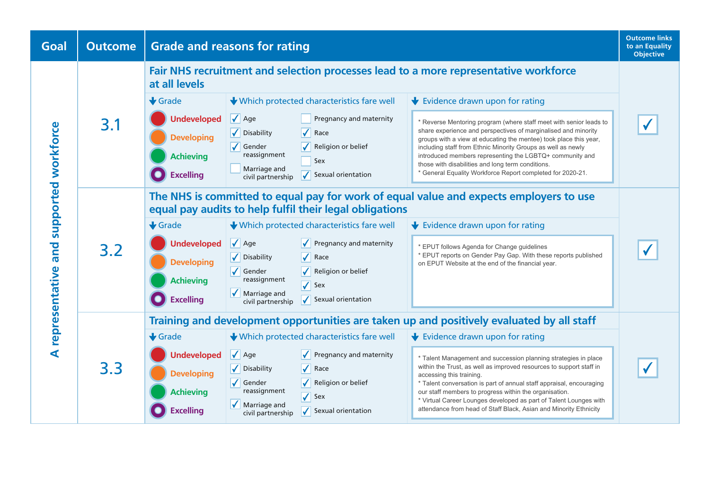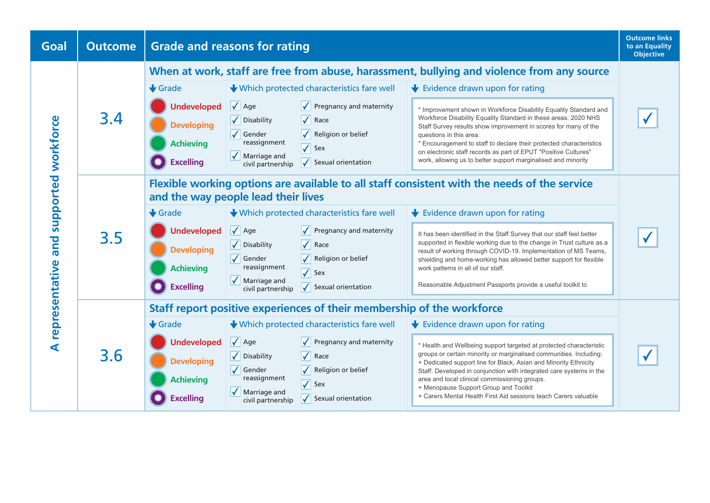